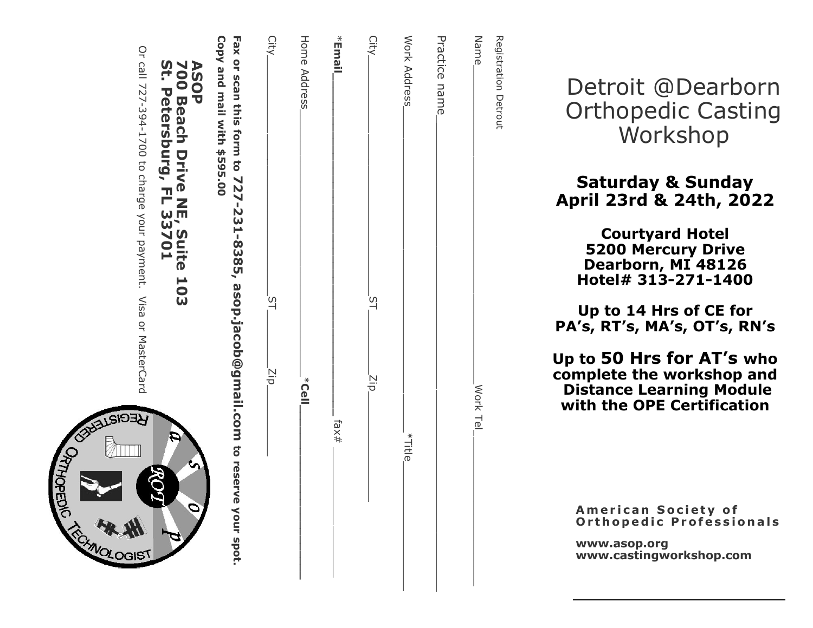| H<br>שעי | 700 Beach Drive NE, Suite 103<br>St. Petersburg, FL 33701<br><b>ASOP</b>                                         |
|----------|------------------------------------------------------------------------------------------------------------------|
|          | Copy and mail with \$595.00<br>Fax or scan this form to 727-231-8385, asop.jacob@gmail.com to reserve your spot. |
| Ξņ       | City<br>$\Xi$                                                                                                    |
| k<br>Oe∥ | Home Address                                                                                                     |
| fax#     | *Email,                                                                                                          |
| Σip      | City<br><u>୍</u>                                                                                                 |
| *Title_  | Work Address                                                                                                     |
|          | Practice name                                                                                                    |
| Work Tel | Name<br>Registration Detrout                                                                                     |
|          |                                                                                                                  |

Detroit @Dearborn Orthopedic Casting Workshop

# Saturday & Sunday April 23rd & 24th, 2022

Courtyard Hotel 5200 Mercury Drive Dearborn, MI 48126 Hotel# 313 -271 -1400

Up to 14 Hrs of CE for PA's, RT's, MA's, OT's, RN's

Up to 50 Hrs for AT 's who complete the workshop and Distance Learning Module with the OPE Certification

American Society of Orthopedic Professionals

www.asop.org www.castingworkshop.com

 $Q$ Or call 727-394-1700 to charge your payment. Visa or MasterCard Visa or MasterCard